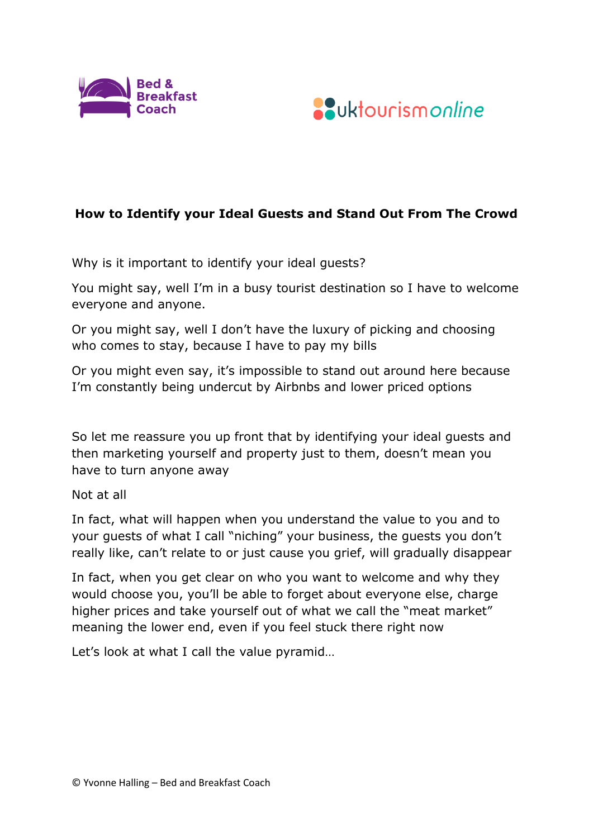



## **How to Identify your Ideal Guests and Stand Out From The Crowd**

Why is it important to identify your ideal guests?

You might say, well I'm in a busy tourist destination so I have to welcome everyone and anyone.

Or you might say, well I don't have the luxury of picking and choosing who comes to stay, because I have to pay my bills

Or you might even say, it's impossible to stand out around here because I'm constantly being undercut by Airbnbs and lower priced options

So let me reassure you up front that by identifying your ideal guests and then marketing yourself and property just to them, doesn't mean you have to turn anyone away

Not at all

In fact, what will happen when you understand the value to you and to your guests of what I call "niching" your business, the guests you don't really like, can't relate to or just cause you grief, will gradually disappear

In fact, when you get clear on who you want to welcome and why they would choose you, you'll be able to forget about everyone else, charge higher prices and take yourself out of what we call the "meat market" meaning the lower end, even if you feel stuck there right now

Let's look at what I call the value pyramid…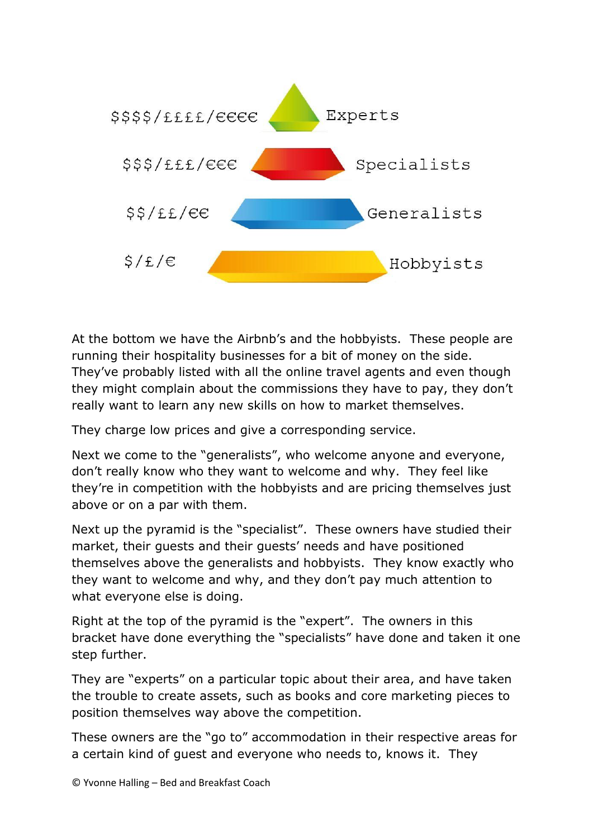

At the bottom we have the Airbnb's and the hobbyists. These people are running their hospitality businesses for a bit of money on the side. They've probably listed with all the online travel agents and even though they might complain about the commissions they have to pay, they don't really want to learn any new skills on how to market themselves.

They charge low prices and give a corresponding service.

Next we come to the "generalists", who welcome anyone and everyone, don't really know who they want to welcome and why. They feel like they're in competition with the hobbyists and are pricing themselves just above or on a par with them.

Next up the pyramid is the "specialist". These owners have studied their market, their guests and their guests' needs and have positioned themselves above the generalists and hobbyists. They know exactly who they want to welcome and why, and they don't pay much attention to what everyone else is doing.

Right at the top of the pyramid is the "expert". The owners in this bracket have done everything the "specialists" have done and taken it one step further.

They are "experts" on a particular topic about their area, and have taken the trouble to create assets, such as books and core marketing pieces to position themselves way above the competition.

These owners are the "go to" accommodation in their respective areas for a certain kind of guest and everyone who needs to, knows it. They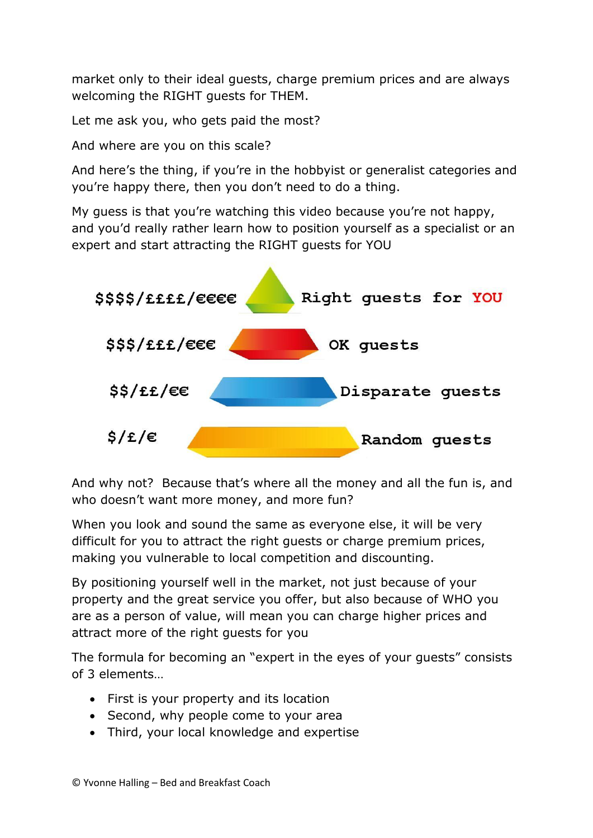market only to their ideal guests, charge premium prices and are always welcoming the RIGHT guests for THEM.

Let me ask you, who gets paid the most?

And where are you on this scale?

And here's the thing, if you're in the hobbyist or generalist categories and you're happy there, then you don't need to do a thing.

My guess is that you're watching this video because you're not happy, and you'd really rather learn how to position yourself as a specialist or an expert and start attracting the RIGHT guests for YOU



And why not? Because that's where all the money and all the fun is, and who doesn't want more money, and more fun?

When you look and sound the same as everyone else, it will be very difficult for you to attract the right guests or charge premium prices, making you vulnerable to local competition and discounting.

By positioning yourself well in the market, not just because of your property and the great service you offer, but also because of WHO you are as a person of value, will mean you can charge higher prices and attract more of the right guests for you

The formula for becoming an "expert in the eyes of your guests" consists of 3 elements…

- First is your property and its location
- Second, why people come to your area
- Third, your local knowledge and expertise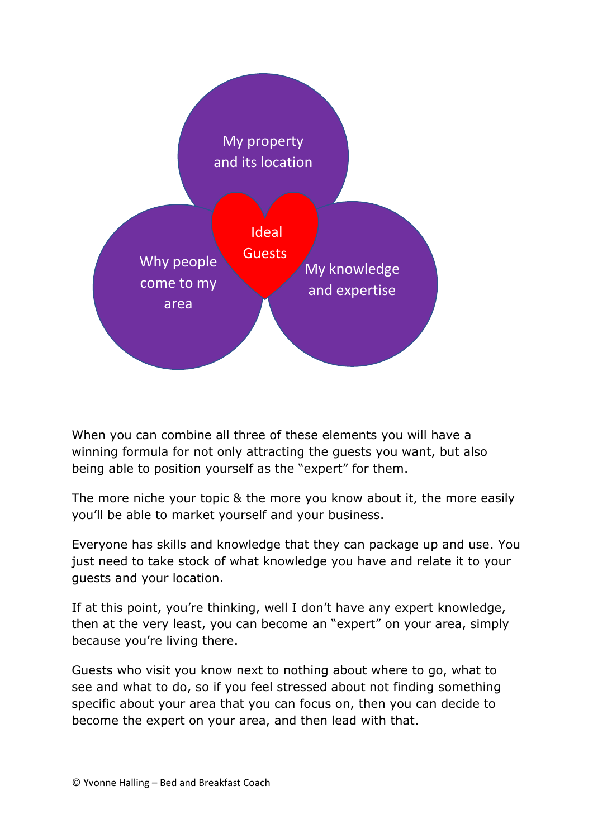

When you can combine all three of these elements you will have a winning formula for not only attracting the guests you want, but also being able to position yourself as the "expert" for them.

The more niche your topic & the more you know about it, the more easily you'll be able to market yourself and your business.

Everyone has skills and knowledge that they can package up and use. You just need to take stock of what knowledge you have and relate it to your guests and your location.

If at this point, you're thinking, well I don't have any expert knowledge, then at the very least, you can become an "expert" on your area, simply because you're living there.

Guests who visit you know next to nothing about where to go, what to see and what to do, so if you feel stressed about not finding something specific about your area that you can focus on, then you can decide to become the expert on your area, and then lead with that.